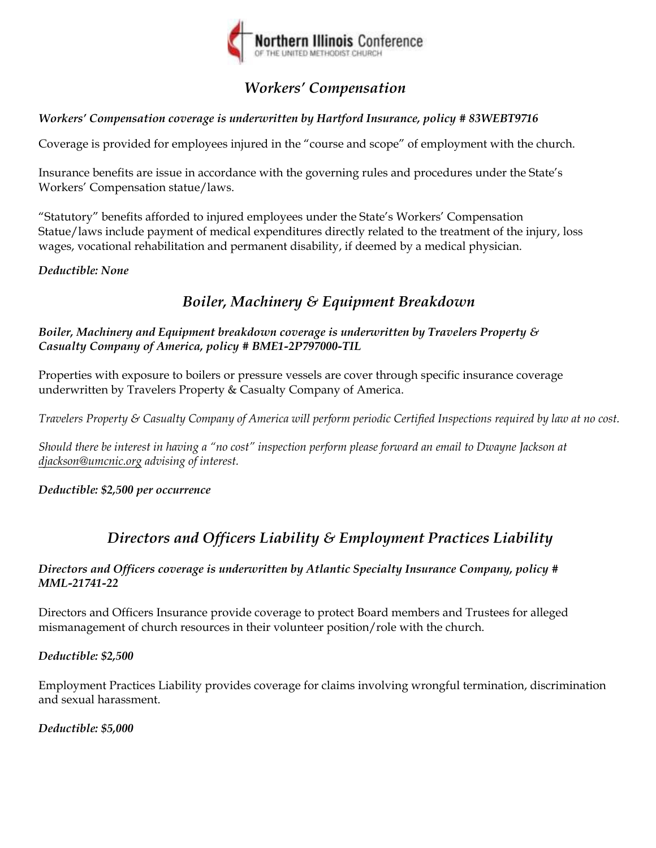

# *Workers' Compensation*

# *Workers' Compensation coverage is underwritten by Hartford Insurance, policy # 83WEBT9716*

Coverage is provided for employees injured in the "course and scope" of employment with the church.

Insurance benefits are issue in accordance with the governing rules and procedures under the State's Workers' Compensation statue/laws.

"Statutory" benefits afforded to injured employees under the State's Workers' Compensation Statue/laws include payment of medical expenditures directly related to the treatment of the injury, loss wages, vocational rehabilitation and permanent disability, if deemed by a medical physician.

# *Deductible: None*

# *Boiler, Machinery & Equipment Breakdown*

*Boiler, Machinery and Equipment breakdown coverage is underwritten by Travelers Property & Casualty Company of America, policy # BME1-2P797000-TIL* 

Properties with exposure to boilers or pressure vessels are cover through specific insurance coverage underwritten by Travelers Property & Casualty Company of America.

*Travelers Property & Casualty Company of America will perform periodic Certified Inspections required by law at no cost.* 

*Should there be interest in having a "no cost" inspection perform please forward an email to Dwayne Jackson at djackson@umcnic.org advising of interest.* 

*Deductible: \$2,500 per occurrence* 

# *Directors and Officers Liability & Employment Practices Liability*

## *Directors and Officers coverage is underwritten by Atlantic Specialty Insurance Company, policy # MML-21741-22*

Directors and Officers Insurance provide coverage to protect Board members and Trustees for alleged mismanagement of church resources in their volunteer position/role with the church.

# *Deductible: \$2,500*

Employment Practices Liability provides coverage for claims involving wrongful termination, discrimination and sexual harassment.

# *Deductible: \$5,000*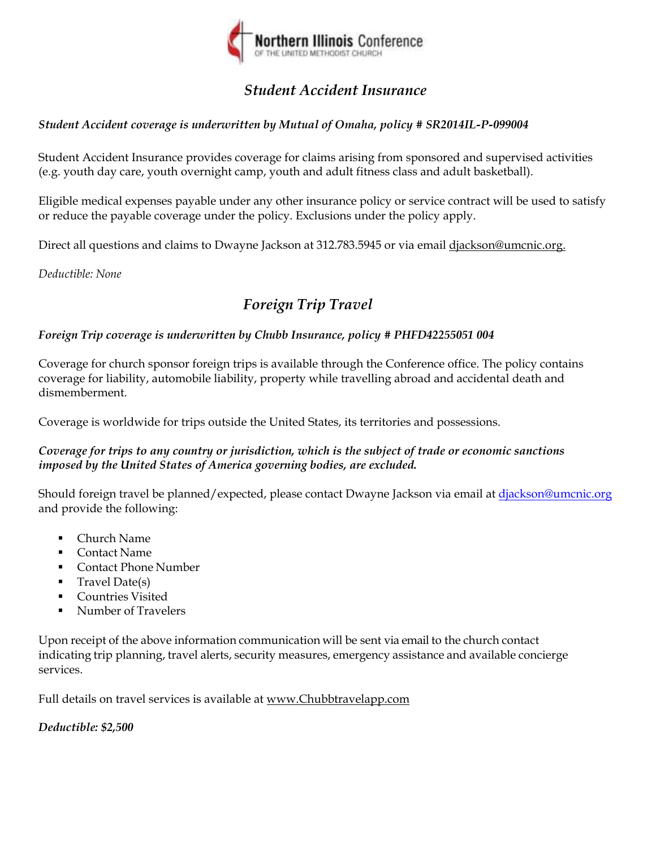

# *Student Accident Insurance*

# *Student Accident coverage is underwritten by Mutual of Omaha, policy # SR2014IL-P-099004*

Student Accident Insurance provides coverage for claims arising from sponsored and supervised activities (e.g. youth day care, youth overnight camp, youth and adult fitness class and adult basketball).

Eligible medical expenses payable under any other insurance policy or service contract will be used to satisfy or reduce the payable coverage under the policy. Exclusions under the policy apply.

Direct all questions and claims to Dwayne Jackson at 312.783.5945 or via email djackson@umcnic.org.

*Deductible: None* 

# *Foreign Trip Travel*

## *Foreign Trip coverage is underwritten by Chubb Insurance, policy # PHFD42255051 004*

Coverage for church sponsor foreign trips is available through the Conference office. The policy contains coverage for liability, automobile liability, property while travelling abroad and accidental death and dismemberment.

Coverage is worldwide for trips outside the United States, its territories and possessions.

## *Coverage for trips to any country or jurisdiction, which is the subject of trade or economic sanctions imposed by the United States of America governing bodies, are excluded.*

Should foreign travel be planned/expected, please contact Dwayne Jackson via email at djackson@umcnic.org and provide the following:

- Church Name
- Contact Name
- **Contact Phone Number**
- Travel Date(s)
- Countries Visited
- Number of Travelers

Upon receipt of the above information communication will be sent via email to the church contact indicating trip planning, travel alerts, security measures, emergency assistance and available concierge services.

Full details on travel services is available at www.Chubbtravelapp.com

*Deductible: \$2,500*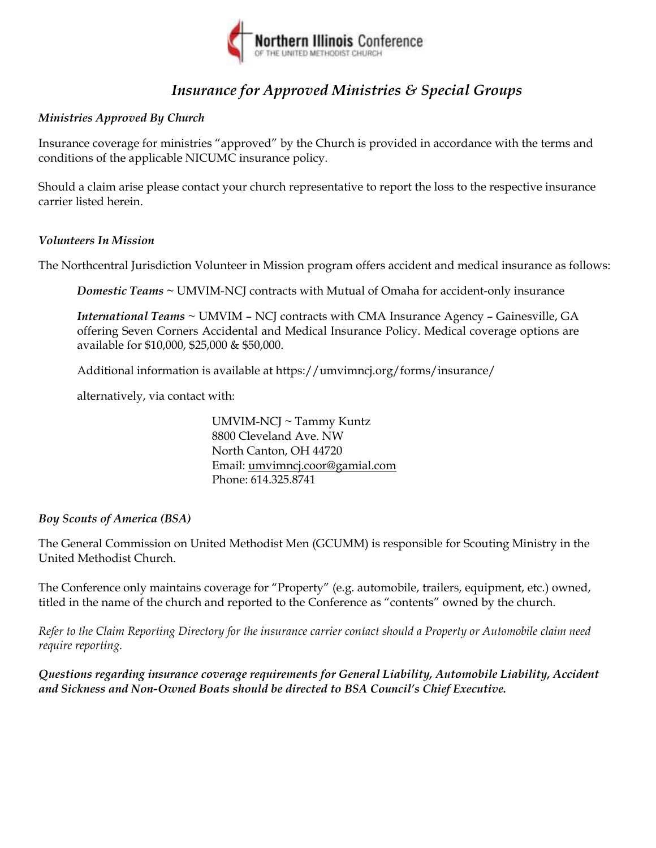

# *Insurance for Approved Ministries & Special Groups*

# *Ministries Approved By Church*

Insurance coverage for ministries "approved" by the Church is provided in accordance with the terms and conditions of the applicable NICUMC insurance policy.

Should a claim arise please contact your church representative to report the loss to the respective insurance carrier listed herein.

## *Volunteers In Mission*

The Northcentral Jurisdiction Volunteer in Mission program offers accident and medical insurance as follows:

*Domestic Teams ~* UMVIM-NCJ contracts with Mutual of Omaha for accident-only insurance

*International Teams* ~ UMVIM – NCJ contracts with CMA Insurance Agency – Gainesville, GA offering Seven Corners Accidental and Medical Insurance Policy. Medical coverage options are available for \$10,000, \$25,000 & \$50,000.

Additional information is available at https://umvimncj.org/forms/insurance/

alternatively, via contact with:

UMVIM-NCJ ~ Tammy Kuntz 8800 Cleveland Ave. NW North Canton, OH 44720 Email: umvimncj.coor@gamial.com Phone: 614.325.8741

## *Boy Scouts of America (BSA)*

The General Commission on United Methodist Men (GCUMM) is responsible for Scouting Ministry in the United Methodist Church.

The Conference only maintains coverage for "Property" (e.g. automobile, trailers, equipment, etc.) owned, titled in the name of the church and reported to the Conference as "contents" owned by the church.

*Refer to the Claim Reporting Directory for the insurance carrier contact should a Property or Automobile claim need require reporting.* 

*Questions regarding insurance coverage requirements for General Liability, Automobile Liability, Accident and Sickness and Non-Owned Boats should be directed to BSA Council's Chief Executive.*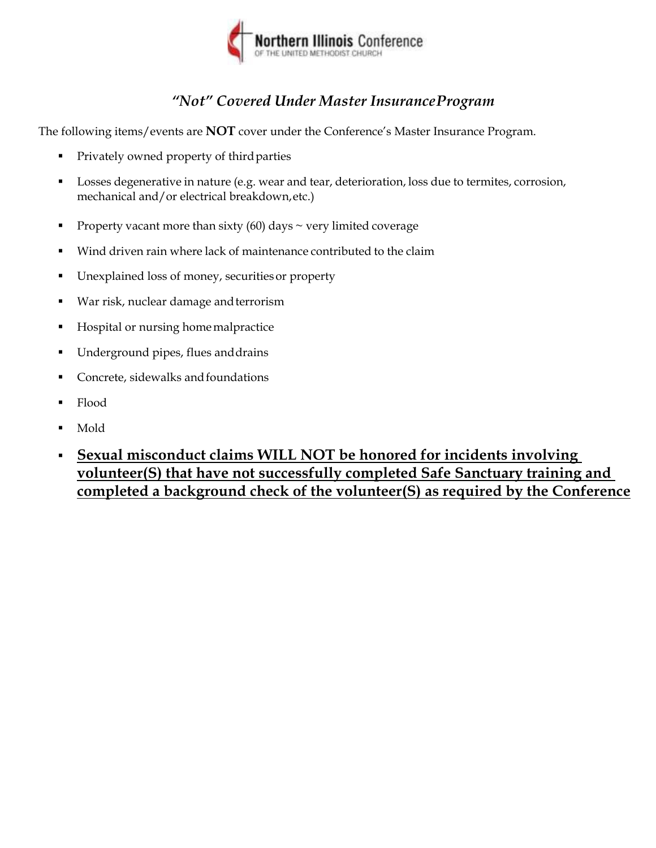

# *"Not" Covered Under Master Insurance Program*

The following items/events are **NOT** cover under the Conference's Master Insurance Program.

- **Privately owned property of third parties**
- **Losses degenerative in nature (e.g. wear and tear, deterioration, loss due to termites, corrosion,** mechanical and/or electrical breakdown, etc.)
- Property vacant more than sixty  $(60)$  days  $\sim$  very limited coverage
- Wind driven rain where lack of maintenance contributed to the claim
- Unexplained loss of money, securities or property
- War risk, nuclear damage and terrorism
- Hospital or nursing home malpractice
- Underground pipes, flues and drains
- Concrete, sidewalks and foundations
- Flood
- Mold
- **Sexual misconduct claims WILL NOT be honored for incidents involving volunteer(S) that have not successfully completed Safe Sanctuary training and completed a background check of the volunteer(S) as required by the Conference**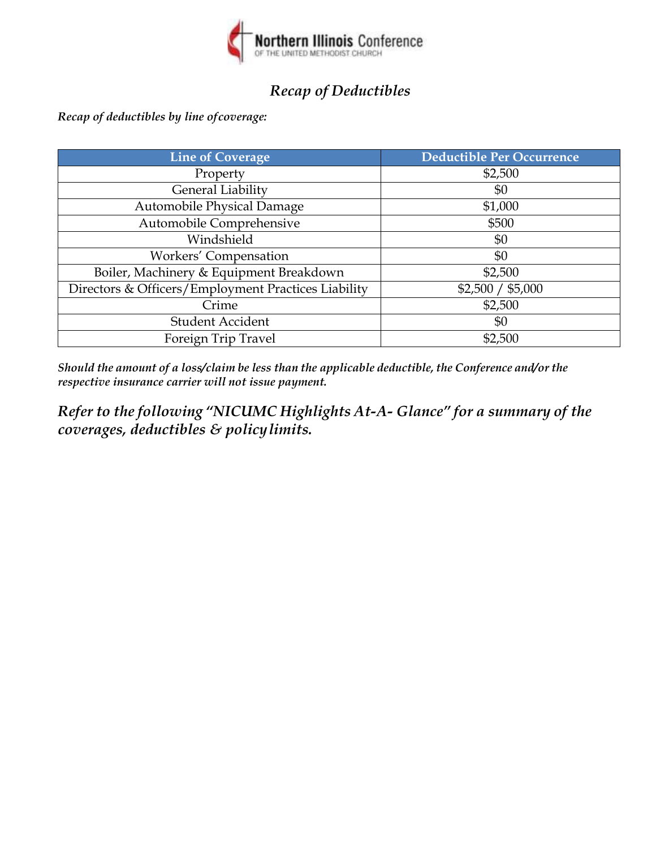

# *Recap of Deductibles*

*Recap of deductibles by line of coverage:* 

| <b>Line of Coverage</b>                             | <b>Deductible Per Occurrence</b> |
|-----------------------------------------------------|----------------------------------|
| Property                                            | \$2,500                          |
| General Liability                                   | \$0                              |
| Automobile Physical Damage                          | \$1,000                          |
| Automobile Comprehensive                            | \$500                            |
| Windshield                                          | \$0                              |
| Workers' Compensation                               | \$0                              |
| Boiler, Machinery & Equipment Breakdown             | \$2,500                          |
| Directors & Officers/Employment Practices Liability | \$2,500 / \$5,000                |
| Crime                                               | \$2,500                          |
| <b>Student Accident</b>                             | \$0                              |
| Foreign Trip Travel                                 | \$2,500                          |

*Should the amount of a loss/claim be less than the applicable deductible, the Conference and/or the respective insurance carrier will not issue payment.* 

*Refer to the following "NICUMC Highlights At-A- Glance" for a summary of the coverages, deductibles & policy limits.*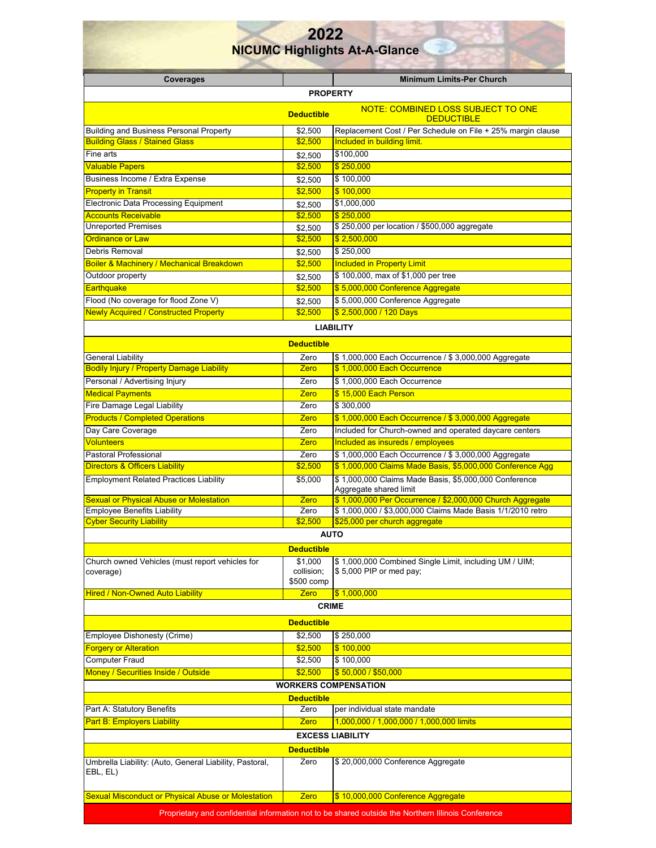#### **2022 NICUMC Highlights At-A-Glance Coverages Minimum Limits-Per Church PROPERTY Deductible MOTE: COMBINED LOSS SUBJECT TO ONE DEDUCTIBLE** Building and Business Personal Property **1992**,500 Replacement Cost / Per Schedule on File + 25% margin clause Building Glass / Stained Glass **\$2,500 Included in building limit.** Fine arts  $$2,500$   $$100,000$ Valuable Papers \$2,500 \$ 250,000 Business Income / Extra Expense **\$2,500** \$ 100,000 Property in Transit **1996 Example 20 and 100 and 100 and 100,000 \$100,000** Electronic Data Processing Equipment \$2,500 \$1,000,000 Accounts Receivable \$2,500 \$ 250,000 Unreported Premises **1990 Example 250,000 \$2,500 \$250,000** per location / \$500,000 aggregate Ordinance or Law \$2,500 \$ 2,500,000 Debris Removal **32.500** \$250,000 Boiler & Machinery / Mechanical Breakdown **1990 Studies 10 Studies 10 Included in Property Limit** Outdoor property **but a set of \$1,000** per tree **\$2,500** \$100,000, max of \$1,000 per tree Earthquake \$2,500 \$ 5,000,000 Conference Aggregate Flood (No coverage for flood Zone V)  $\overline{32,500}$  \$5,000,000 Conference Aggregate Newly Acquired / Constructed Property **1999 12:500 12:500,000 A** 120 Days **LIABILITY Deductible**  General Liability **Contract Contract Contract Contract Contract Contract Contract Contract Contract Contract Contract Contract Contract Contract Contract Contract Contract Contract Contract Contract Contract Contract Contr** Bodily Injury / Property Damage Liability **Accord Contract Contract Contract S** 1,000,000 Each Occurrence Personal / Advertising Injury **Contained Act 2018** 2 2 2 2 4 3 1,000,000 Each Occurrence Medical Payments Zero & The Server Control of the Server Control of the Server Control of the Server Control of the Person Fire Damage Legal Liability **Contract Contract Contract Contract Contract Contract Contract Contract Contract Contract Contract Contract Contract Contract Contract Contract Contract Contract Contract Contract Contract Cont** Products / Completed Operations **Zero 3 1,000,000 Each Occurrence / \$ 3,000,000 Aggregate** Day Care Coverage The Coverage Term included for Church-owned and operated daycare centers Volunteers Zero Included as insureds / employees **Volunteers** Pastoral Professional **Zero \$ 1,000,000 Each Occurrence / \$ 3,000,000** Aggregate Directors & Officers Liability \$2,500 \$ 1,000,000 Claims Made Basis, \$5,000,000 Conference Agg Employment Related Practices Liability **\$5,000** \$ \$5,000 \$ 1,000,000 Claims Made Basis, \$5,000,000 Conference Aggregate shared limit Sexual or Physical Abuse or Molestation **Zero (\$ 1,000,000 Per Occurrence / \$2,000,000 Church Aggregate** Employee Benefits Liability **Employee Benefits Liability** Zero **\$ 1,000,000** / \$3,000,000 Claims Made Basis 1/1/2010 retro Cyber Security Liability \$2,500 \$25,000 per church aggregate **AUTO Deductible**  Church owned Vehicles (must report vehicles for coverage) \$1,000 collision; \$500 comp \$ 1,000,000 Combined Single Limit, including UM / UIM; \$ 5,000 PIP or med pay; Hired / Non-Owned Auto Liability **No. 2018 11:000,000 CRIME Deductible**  Employee Dishonesty (Crime) \$2,500 \$ 250,000 **Forgery or Alteration 1999 100,000 \$100,000 \$100,000** Computer Fraud **62,500** \$ 100,000 Money / Securities Inside / Outside  $\overline{\phantom{a}}$   $\overline{\phantom{a}}$   $\overline{\phantom{a}}$  \$2,500  $\overline{\phantom{a}}$  \$50,000 / \$50,000 **WORKERS COMPENSATION Deductible**  Part A: Statutory Benefits **Zero** per individual state mandate Part B: Employers Liability Zero 1,000,000 / 1,000,000 / 1,000,000 limits **EXCESS LIABILITY**

**Deductible**  Umbrella Liability: (Auto, General Liability, Pastoral, EBL, EL) Zero \$ 20,000,000 Conference Aggregate Sexual Misconduct or Physical Abuse or Molestation | Zero \$ 10,000,000 Conference Aggregate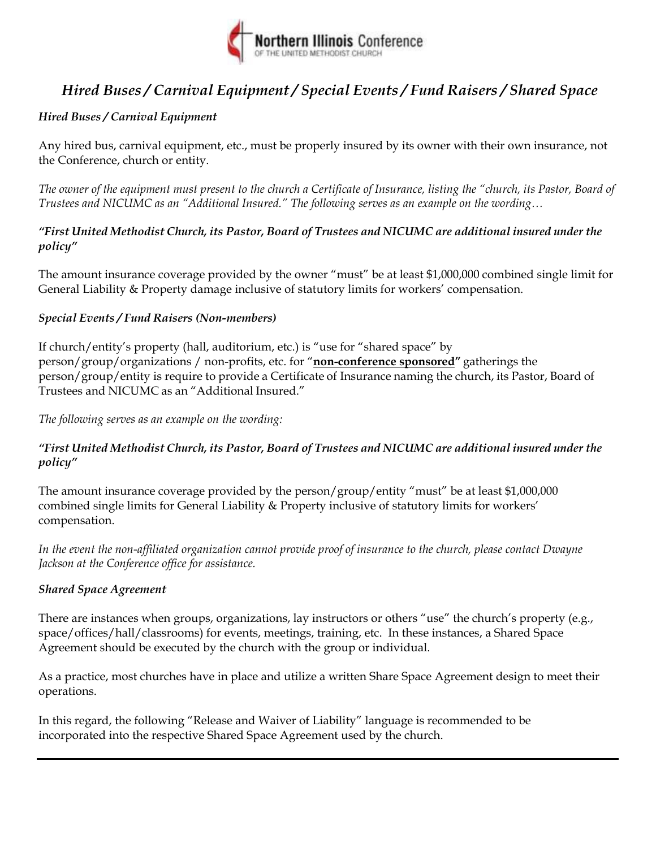

# *Hired Buses / Carnival Equipment / Special Events / Fund Raisers / Shared Space*

# *Hired Buses / Carnival Equipment*

Any hired bus, carnival equipment, etc., must be properly insured by its owner with their own insurance, not the Conference, church or entity.

*The owner of the equipment must present to the church a Certificate of Insurance, listing the "church, its Pastor, Board of Trustees and NICUMC as an "Additional Insured." The following serves as an example on the wording…* 

## *"First United Methodist Church, its Pastor, Board of Trustees and NICUMC are additional insured under the policy"*

The amount insurance coverage provided by the owner "must" be at least \$1,000,000 combined single limit for General Liability & Property damage inclusive of statutory limits for workers' compensation.

## *Special Events / Fund Raisers (Non-members)*

If church/entity's property (hall, auditorium, etc.) is "use for "shared space" by person/group/organizations / non-profits, etc. for "**non-conference sponsored"** gatherings the person/group/entity is require to provide a Certificate of Insurance naming the church, its Pastor, Board of Trustees and NICUMC as an "Additional Insured."

*The following serves as an example on the wording:* 

## *"First United Methodist Church, its Pastor, Board of Trustees and NICUMC are additional insured under the policy"*

The amount insurance coverage provided by the person/group/entity "must" be at least \$1,000,000 combined single limits for General Liability & Property inclusive of statutory limits for workers' compensation.

*In the event the non-affiliated organization cannot provide proof of insurance to the church, please contact Dwayne Jackson at the Conference office for assistance.* 

# *Shared Space Agreement*

There are instances when groups, organizations, lay instructors or others "use" the church's property (e.g., space/offices/hall/classrooms) for events, meetings, training, etc. In these instances, a Shared Space Agreement should be executed by the church with the group or individual.

As a practice, most churches have in place and utilize a written Share Space Agreement design to meet their operations.

In this regard, the following "Release and Waiver of Liability" language is recommended to be incorporated into the respective Shared Space Agreement used by the church.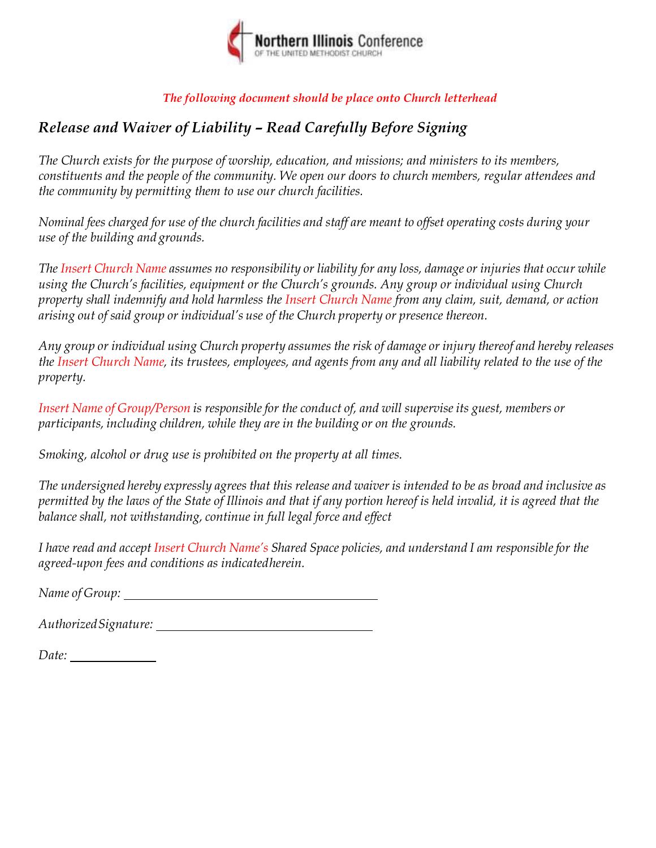

# *The following document should be place onto Church letterhead*

# *Release and Waiver of Liability – Read Carefully Before Signing*

*The Church exists for the purpose of worship, education, and missions; and ministers to its members, constituents and the people of the community. We open our doors to church members, regular attendees and the community by permitting them to use our church facilities.* 

*Nominal fees charged for use of the church facilities and staff are meant to offset operating costs during your use of the building and grounds.* 

*The Insert Church Name assumes no responsibility or liability for any loss, damage or injuries that occur while using the Church's facilities, equipment or the Church's grounds. Any group or individual using Church property shall indemnify and hold harmless the Insert Church Name from any claim, suit, demand, or action arising out of said group or individual's use of the Church property or presence thereon.* 

*Any group or individual using Church property assumes the risk of damage or injury thereof and hereby releases*  the Insert Church Name, its trustees, employees, and agents from any and all liability related to the use of the *property.* 

*Insert Name of Group/Person is responsible for the conduct of, and will supervise its guest, members or participants, including children, while they are in the building or on the grounds.* 

*Smoking, alcohol or drug use is prohibited on the property at all times.* 

*The undersigned hereby expressly agrees that this release and waiver is intended to be as broad and inclusive as permitted by the laws of the State of Illinois and that if any portion hereof is held invalid, it is agreed that the balance shall, not withstanding, continue in full legal force and effect* 

*I have read and accept Insert Church Name's Shared Space policies, and understand I am responsible for the agreed-upon fees and conditions as indicated herein.* 

*Name of Group:* 

*Authorized Signature:* 

*Date:*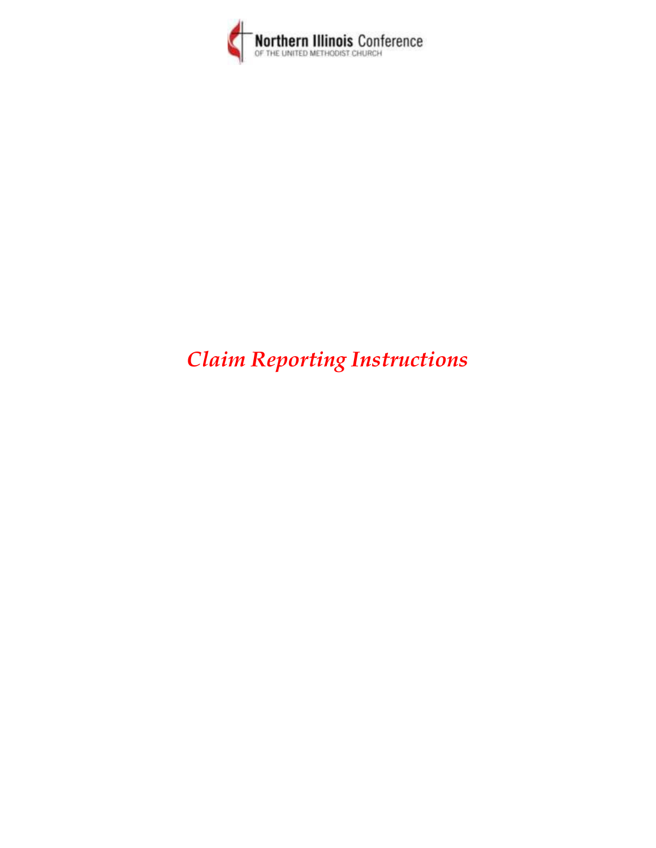

# *Claim Reporting Instructions*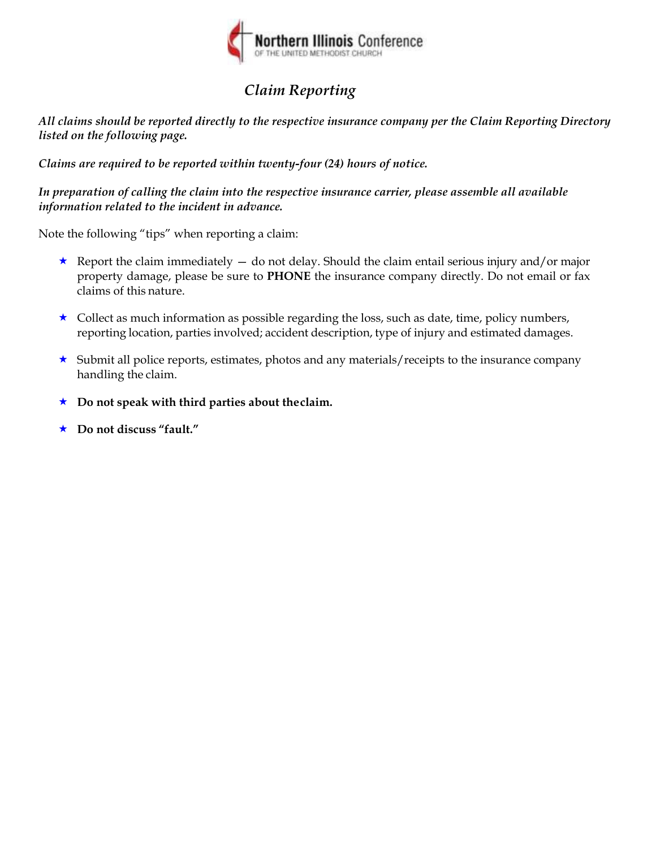

# *Claim Reporting*

*All claims should be reported directly to the respective insurance company per the Claim Reporting Directory listed on the following page.* 

*Claims are required to be reported within twenty-four (24) hours of notice.* 

*In preparation of calling the claim into the respective insurance carrier, please assemble all available information related to the incident in advance.* 

Note the following "tips" when reporting a claim:

- Report the claim immediately  $-$  do not delay. Should the claim entail serious injury and/or major property damage, please be sure to **PHONE** the insurance company directly. Do not email or fax claims of this nature.
- $\star$  Collect as much information as possible regarding the loss, such as date, time, policy numbers, reporting location, parties involved; accident description, type of injury and estimated damages.
- $\star$  Submit all police reports, estimates, photos and any materials/receipts to the insurance company handling the claim.
- **Do not speak with third parties about the claim.**
- **Do not discuss "fault."**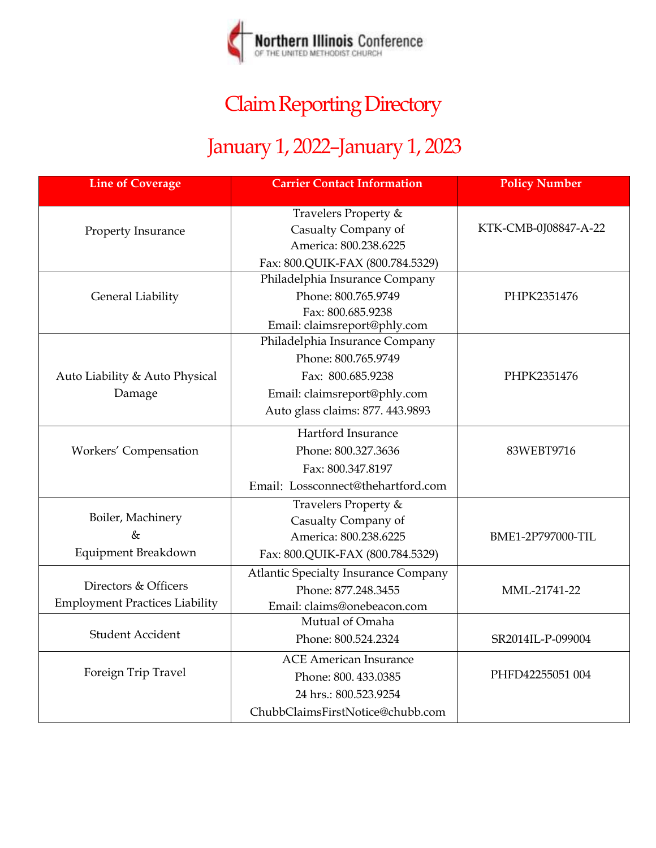

# Claim Reporting Directory

# January 1, 2022–January 1, 2023

| <b>Line of Coverage</b>               | <b>Carrier Contact Information</b>                | <b>Policy Number</b> |
|---------------------------------------|---------------------------------------------------|----------------------|
|                                       | Travelers Property &                              |                      |
| Property Insurance                    | Casualty Company of                               | KTK-CMB-0J08847-A-22 |
|                                       | America: 800.238.6225                             |                      |
|                                       | Fax: 800.QUIK-FAX (800.784.5329)                  |                      |
|                                       | Philadelphia Insurance Company                    |                      |
| <b>General Liability</b>              | Phone: 800.765.9749                               | PHPK2351476          |
|                                       | Fax: 800.685.9238<br>Email: claimsreport@phly.com |                      |
|                                       | Philadelphia Insurance Company                    |                      |
|                                       | Phone: 800.765.9749                               |                      |
| Auto Liability & Auto Physical        | Fax: 800.685.9238                                 | PHPK2351476          |
| Damage                                | Email: claimsreport@phly.com                      |                      |
|                                       | Auto glass claims: 877. 443.9893                  |                      |
|                                       | Hartford Insurance                                |                      |
| Workers' Compensation                 | Phone: 800.327.3636                               | 83WEBT9716           |
|                                       | Fax: 800.347.8197                                 |                      |
|                                       | Email: Lossconnect@thehartford.com                |                      |
|                                       | Travelers Property &                              |                      |
| Boiler, Machinery                     | Casualty Company of                               |                      |
| $\&$                                  | America: 800.238.6225                             | BME1-2P797000-TIL    |
| Equipment Breakdown                   | Fax: 800.QUIK-FAX (800.784.5329)                  |                      |
|                                       | <b>Atlantic Specialty Insurance Company</b>       |                      |
| Directors & Officers                  | Phone: 877.248.3455                               | MML-21741-22         |
| <b>Employment Practices Liability</b> | Email: claims@onebeacon.com                       |                      |
|                                       | Mutual of Omaha                                   |                      |
| <b>Student Accident</b>               | Phone: 800.524.2324                               | SR2014IL-P-099004    |
|                                       | <b>ACE American Insurance</b>                     |                      |
| Foreign Trip Travel                   | Phone: 800.433.0385                               | PHFD42255051 004     |
|                                       | 24 hrs.: 800.523.9254                             |                      |
|                                       | ChubbClaimsFirstNotice@chubb.com                  |                      |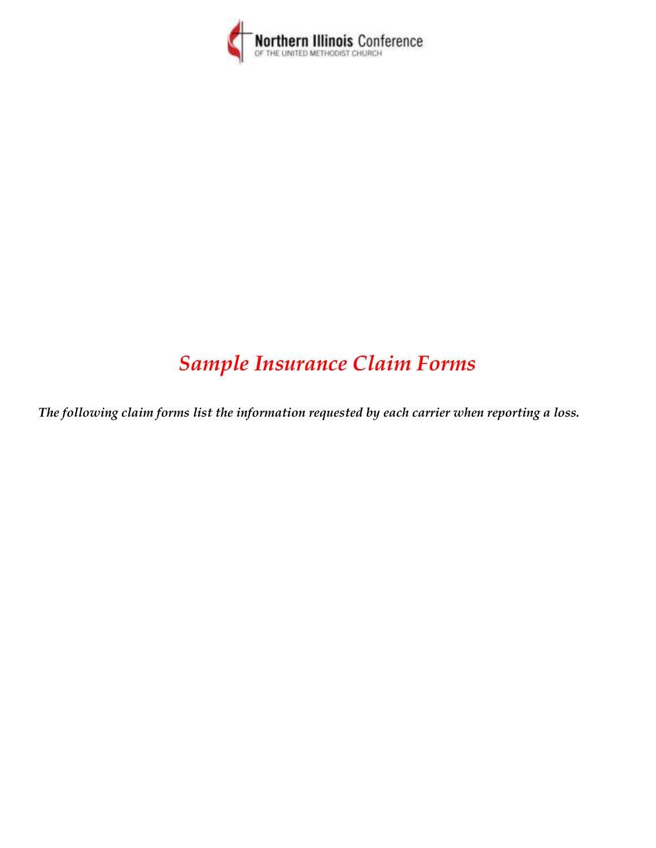

# *Sample Insurance Claim Forms*

*The following claim forms list the information requested by each carrier when reporting a loss.*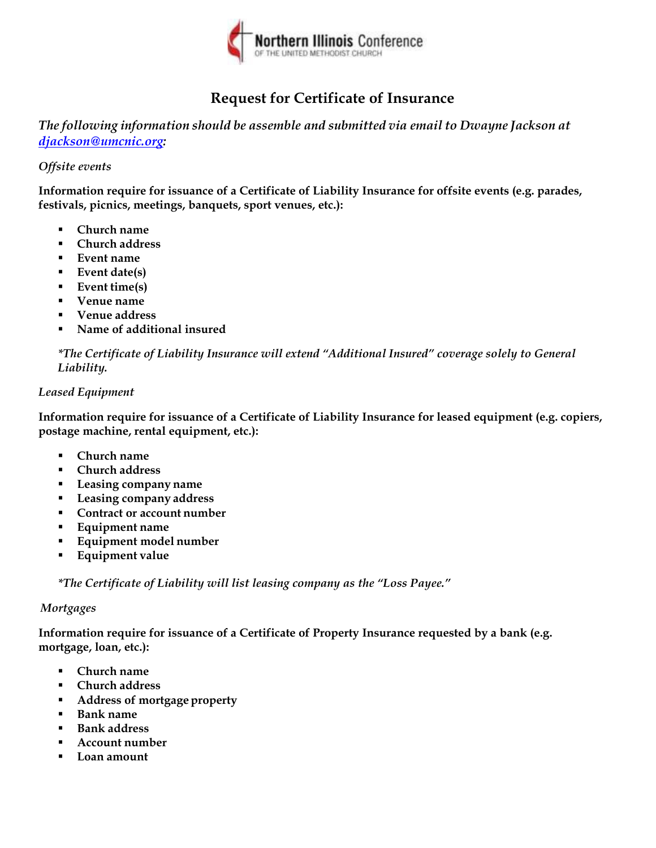# **WORKSHEET FOR PROPERTY TELEPHONE REPORTING**

| <b>WORKSHEET FOR PROPERTY TELEPHONE REPORTING</b>                                                             |                         |                      |                                                  |
|---------------------------------------------------------------------------------------------------------------|-------------------------|----------------------|--------------------------------------------------|
| <b>ACCOUNT INFORMATION</b>                                                                                    |                         |                      |                                                  |
| CALLER'S PHONE NUMBER & EXTENSION                                                                             | CALLER'S TITLE AND NAME |                      | LOSS STATE (STATE WHERE<br><b>LOSS OCCURRED)</b> |
| SUBSIDIARY NAME AND ADDRESS                                                                                   |                         |                      |                                                  |
|                                                                                                               |                         |                      |                                                  |
| SUBSIDIARY MAILING ADDRESS (IF DIFFERENT FROM ABOVE)                                                          |                         |                      |                                                  |
|                                                                                                               |                         |                      |                                                  |
| DID THE LOSS OCCUR AT THE LOCATION ADDRESS? (IF "NO", ADDRESS WHERE LOSS OCCURRED)                            |                         |                      |                                                  |
| $\Box$ NO<br>$\Box$<br><b>YES</b>                                                                             |                         |                      |                                                  |
| PARENT COMPANY/INSURED'S NAME                                                                                 |                         | <b>LOCATION CODE</b> | POLICY SYMBOL AND NUMBER                         |
|                                                                                                               |                         |                      |                                                  |
|                                                                                                               |                         |                      |                                                  |
| <b>LOSS INFORMATION</b>                                                                                       |                         |                      |                                                  |
| DATE AND TIME OF LOSS                                                                                         |                         |                      |                                                  |
|                                                                                                               |                         |                      |                                                  |
| FULL DESCRIPTION OF LOSS (INCLUDE SPECIFICS OF WHERE IT OCCURRED, SUCH AS A WAREHOUSE, STOCKROOM, DEPARTMENT) |                         |                      |                                                  |
|                                                                                                               |                         |                      |                                                  |
|                                                                                                               |                         |                      |                                                  |
|                                                                                                               |                         |                      |                                                  |
|                                                                                                               |                         |                      |                                                  |
| <b>DID THE LOSS INVOLVE:</b>                                                                                  |                         |                      |                                                  |
| BUILDING (REAL PROPERTY) DAMAGE? IF YES,                                                                      |                         |                      |                                                  |
| DESCRIPTION OF DAMAGE TO BUILDING                                                                             |                         |                      |                                                  |
|                                                                                                               |                         |                      |                                                  |
|                                                                                                               |                         |                      |                                                  |
|                                                                                                               |                         |                      |                                                  |
| IS ANY INTERIOR SECTION OF THE BUILDING NOW EXPOSED TO THE OUTDOORS AND UNPROTECTED?                          |                         |                      |                                                  |
|                                                                                                               |                         |                      |                                                  |
|                                                                                                               |                         |                      |                                                  |

CAN THE BUILDING BE OCCUPIED?

DO YOU HAVE A WRITTEN ESTIMATE OR REPAIR BILL FOR BUILDING? IF YES, AMOUNT

CONTENTS (PERSONAL PROPERTY) DAMAGE? IF YES, DESCRIPTION OF DAMAGE TO CONTENTS

DO YOU HAVE A WRITTEN ESTIMATE OR REPAIR BILL FOR BUILDING? IF YES, AMOUNT

### ONLY GLASS OR SIGN DAMAGE?

#### BUSINESS INTERRUPTION?

WITNESSES (NAMES, ADDRESSES, AND PHONE NUMBERS)

AUTHORITIES (NAME, REPORT/CASE NUMBER, COUNTY, ANY VIOLATIONS/CITATIONS)

#### **CONTACT INFORMATION**

CONTACT NAME AND PHONE NUMBER, BEST TIME TO CONTACT AND WHERE TO CONTACT

ADDITIONAL NOTES/COMMENTS OR CUSTOMER SPECIFIC INFORMATION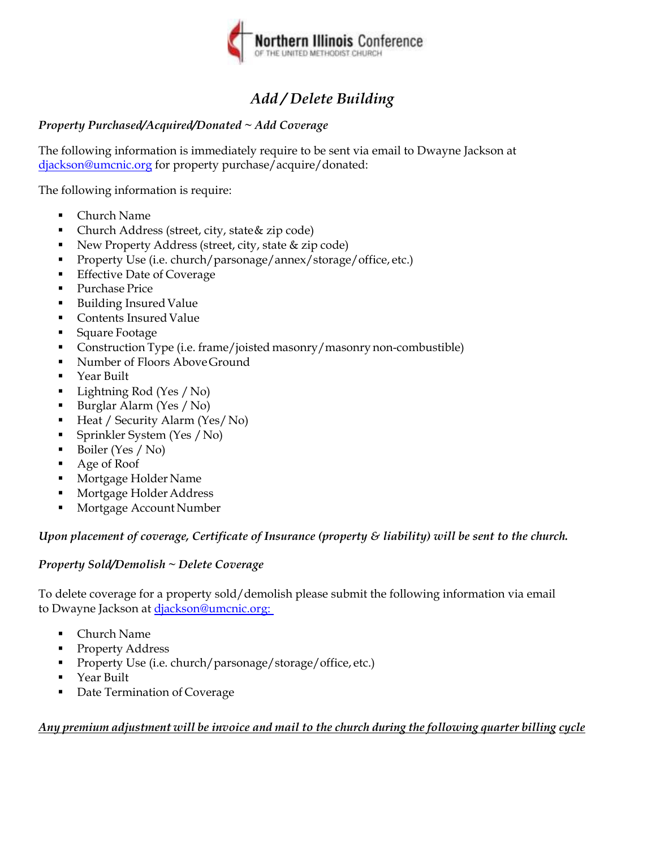

| <i><b>ACORD®</b></i>                                               |                                    |                             | <b>GENERAL LIABILITY NOTICE OF OCCURRENCE / CLAIM</b> |                                  |                                    |                      |                                     |                                    | DATE (MM/DD/YYYY) |    |
|--------------------------------------------------------------------|------------------------------------|-----------------------------|-------------------------------------------------------|----------------------------------|------------------------------------|----------------------|-------------------------------------|------------------------------------|-------------------|----|
| <b>AGENCY</b>                                                      |                                    |                             |                                                       | <b>INSURED LOCATION CODE</b>     |                                    |                      |                                     | DATE OF LOSS AND TIME              |                   | AM |
|                                                                    |                                    |                             |                                                       |                                  |                                    |                      |                                     |                                    |                   | PM |
|                                                                    |                                    |                             |                                                       | <b>CARRIER</b>                   |                                    |                      |                                     |                                    | <b>NAIC CODE</b>  |    |
|                                                                    |                                    |                             |                                                       |                                  |                                    |                      |                                     |                                    |                   |    |
|                                                                    |                                    |                             |                                                       | <b>POLICY NUMBER</b>             |                                    |                      |                                     |                                    |                   |    |
| CONTACT<br>NAME:                                                   |                                    |                             |                                                       |                                  |                                    |                      |                                     |                                    |                   |    |
| <b>PHONE</b>                                                       |                                    |                             |                                                       |                                  |                                    |                      |                                     |                                    |                   |    |
| FAONE<br>FAX<br>FAX<br>(A/C, No):<br>E-MAILOC                      |                                    |                             |                                                       |                                  |                                    |                      |                                     |                                    |                   |    |
| ADDRESS:                                                           |                                    |                             |                                                       |                                  |                                    |                      |                                     |                                    |                   |    |
| CODE:                                                              |                                    | SUBCODE:                    |                                                       |                                  |                                    |                      |                                     |                                    |                   |    |
| <b>AGENCY CUSTOMER ID:</b>                                         |                                    |                             |                                                       |                                  |                                    |                      |                                     |                                    |                   |    |
| <b>INSURED</b>                                                     |                                    |                             |                                                       |                                  |                                    |                      |                                     |                                    |                   |    |
| NAME OF INSURED (First, Middle, Last)                              |                                    |                             |                                                       | <b>INSURED'S MAILING ADDRESS</b> |                                    |                      |                                     |                                    |                   |    |
|                                                                    |                                    |                             |                                                       |                                  |                                    |                      |                                     |                                    |                   |    |
| <b>DATE OF BIRTH</b>                                               | FEIN (if applicable)               |                             |                                                       |                                  |                                    |                      |                                     |                                    |                   |    |
|                                                                    |                                    |                             |                                                       |                                  |                                    |                      |                                     |                                    |                   |    |
| <b>PRIMARY</b><br><b>PHONE</b> #                                   | $\Box$ home $\Box$ bus $\Box$ cell | <b>SECONDARY</b><br>PHONE # | $\Box$ HOME $\Box$ BUS $\Box$ CELL                    | PRIMARY E-MAIL ADDRESS:          |                                    |                      |                                     |                                    |                   |    |
|                                                                    |                                    |                             |                                                       | SECONDARY E-MAIL ADDRESS:        |                                    |                      |                                     |                                    |                   |    |
| <b>CONTACT</b>                                                     | CONTACT INSURED                    |                             |                                                       |                                  |                                    |                      |                                     |                                    |                   |    |
| NAME OF CONTACT (First, Middle, Last)                              |                                    |                             |                                                       | <b>CONTACT'S MAILING ADDRESS</b> |                                    |                      |                                     |                                    |                   |    |
|                                                                    |                                    |                             |                                                       |                                  |                                    |                      |                                     |                                    |                   |    |
| <b>PRIMARY</b><br><b>PHONE</b> #                                   | $\Box$ HOME $\Box$ BUS $\Box$ CELL | <b>SECONDARY</b><br>PHONE # | $\Box$ HOME $\Box$ BUS $\Box$ CELL                    |                                  |                                    |                      |                                     |                                    |                   |    |
| <b>WHEN TO CONTACT</b>                                             |                                    |                             |                                                       |                                  |                                    |                      |                                     |                                    |                   |    |
|                                                                    |                                    |                             |                                                       | PRIMARY E-MAIL ADDRESS:          |                                    |                      |                                     |                                    |                   |    |
| <b>OCCURRENCE</b>                                                  |                                    |                             |                                                       | <b>SECONDARY E-MAIL ADDRESS:</b> |                                    |                      |                                     |                                    |                   |    |
| <b>LOCATION OF OCCURRENCE</b>                                      |                                    |                             |                                                       |                                  |                                    |                      | POLICE OR FIRE DEPARTMENT CONTACTED |                                    |                   |    |
| STREET:                                                            |                                    |                             |                                                       |                                  |                                    |                      |                                     |                                    |                   |    |
| CITY, STATE, ZIP:                                                  |                                    |                             |                                                       |                                  |                                    | <b>REPORT NUMBER</b> |                                     |                                    |                   |    |
| <b>COUNTRY:</b>                                                    |                                    |                             |                                                       |                                  |                                    |                      |                                     |                                    |                   |    |
| DESCRIBE LOCATION OF OCCURRENCE IF NOT AT SPECIFIC STREET ADDRESS: |                                    |                             |                                                       |                                  |                                    |                      |                                     |                                    |                   |    |
|                                                                    |                                    |                             |                                                       |                                  |                                    |                      |                                     |                                    |                   |    |
| <b>TYPE OF LIABILITY</b>                                           |                                    |                             |                                                       |                                  |                                    |                      |                                     |                                    |                   |    |
| <b>PREMISES: INSURED IS</b>                                        | OWNER                              | <b>TENANT</b>               |                                                       | <b>TYPE OF PREMISES</b>          |                                    |                      |                                     |                                    |                   |    |
| <b>OWNER'S NAME &amp; ADDRESS (If not insured)</b>                 |                                    |                             |                                                       |                                  |                                    |                      |                                     |                                    |                   |    |
|                                                                    |                                    |                             |                                                       | <b>PRIMARY</b><br><b>PHONE#</b>  | $\Box$ HOME $\Box$ BUS $\Box$ CELL |                      | <b>SECONDARY</b><br>PHONE #         | $\Box$ HOME $\Box$ BUS $\Box$ CELL |                   |    |
|                                                                    |                                    |                             |                                                       | PRIMARY E-MAIL ADDRESS:          |                                    |                      |                                     |                                    |                   |    |
|                                                                    |                                    |                             |                                                       | SECONDARY E-MAIL ADDRESS:        |                                    |                      |                                     |                                    |                   |    |
| <b>PRODUCTS: INSURED IS</b>                                        | MANUFACTURER                       | <b>VENDOR</b>               |                                                       | <b>TYPE OF PRODUCT</b>           |                                    |                      |                                     |                                    |                   |    |
| MANUFACTURER'S NAME & ADDRESS (If not insured)                     |                                    |                             |                                                       |                                  |                                    |                      |                                     |                                    |                   |    |
|                                                                    |                                    |                             |                                                       | <b>PRIMARY</b><br><b>PHONE#</b>  | $\Box$ HOME $\Box$ BUS $\Box$ CELL |                      | <b>SECONDARY</b><br>PHONE #         | $\Box$ HOME $\Box$ BUS $\Box$ CELL |                   |    |
|                                                                    |                                    |                             |                                                       | PRIMARY E-MAIL ADDRESS:          |                                    |                      |                                     |                                    |                   |    |
|                                                                    |                                    |                             |                                                       | SECONDARY E-MAIL ADDRESS:        |                                    |                      |                                     |                                    |                   |    |
|                                                                    |                                    |                             |                                                       |                                  |                                    |                      |                                     |                                    |                   |    |

**WHERE CAN PRODUCT BE SEEN?**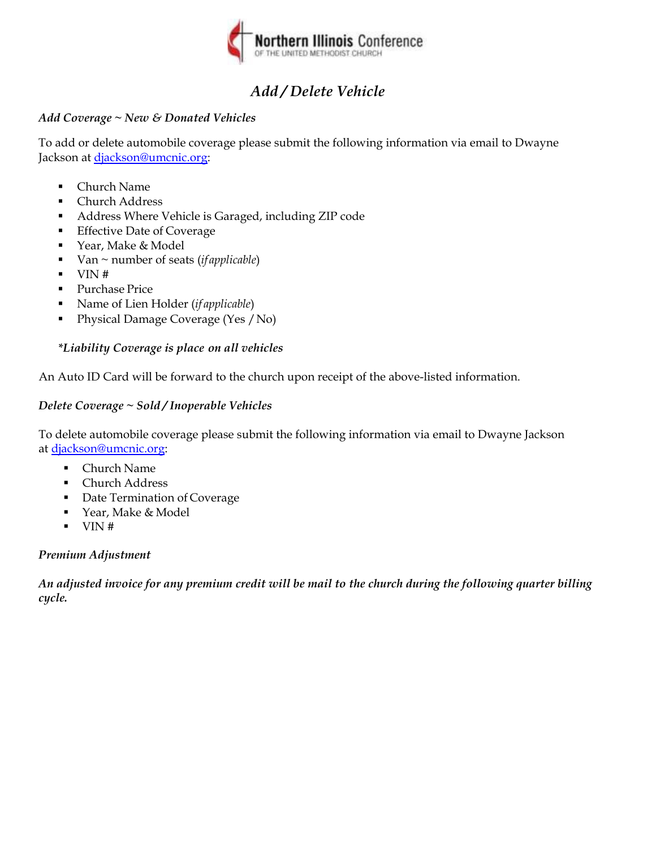#### **INJURED / PROPERTY DAMAGED**

# **AGENCY CUSTOMER ID:**

| <b>NAME &amp; ADDRESS (Injured/Owner)</b> |  |                                    | <b>EMPLOYER'S NAME &amp; ADDRESS</b>                                          |                                |                                 |                                    |                                                                         |  |
|-------------------------------------------|--|------------------------------------|-------------------------------------------------------------------------------|--------------------------------|---------------------------------|------------------------------------|-------------------------------------------------------------------------|--|
|                                           |  |                                    |                                                                               |                                |                                 |                                    |                                                                         |  |
|                                           |  |                                    |                                                                               |                                |                                 |                                    |                                                                         |  |
|                                           |  |                                    |                                                                               |                                |                                 |                                    |                                                                         |  |
|                                           |  |                                    |                                                                               |                                |                                 |                                    |                                                                         |  |
| <b>PRIMARY</b><br><b>PHONE#</b>           |  | $\Box$ HOME $\Box$ BUS $\Box$ CELL | <b>SECONDARY</b><br>$\sqcap$ home $\sqcap$ bus $\sqcap$ cell<br><b>PHONE#</b> |                                | <b>PRIMARY</b><br><b>PHONE#</b> | $\Box$ HOME $\Box$ BUS $\Box$ CELL | <b>SECONDARY</b><br>$\Box$ HOME $\Box$ BUS $\Box$ CELL<br><b>PHONE#</b> |  |
| <b>PRIMARY E-MAIL ADDRESS:</b>            |  |                                    |                                                                               | <b>PRIMARY E-MAIL ADDRESS:</b> |                                 |                                    |                                                                         |  |
| <b>SECONDARY E-MAIL ADDRESS:</b>          |  |                                    | <b>SECONDARY E-MAIL ADDRESS:</b>                                              |                                |                                 |                                    |                                                                         |  |
| AGE<br><b>SEX</b><br><b>OCCUPATION</b>    |  |                                    | <b>DESCRIBE INJURY</b>                                                        |                                |                                 |                                    |                                                                         |  |
|                                           |  |                                    |                                                                               |                                |                                 |                                    |                                                                         |  |
| <b>WHERE TAKEN</b>                        |  |                                    | <b>WHAT WAS INJURED DOING?</b>                                                |                                |                                 |                                    |                                                                         |  |
|                                           |  |                                    |                                                                               |                                |                                 |                                    |                                                                         |  |
| DESCRIBE PROPERTY (Type, model, etc.)     |  |                                    | <b>ESTIMATE AMOUNT</b><br><b>WHERE CAN PROPERTY BE SEEN?</b>                  |                                |                                 |                                    |                                                                         |  |
|                                           |  |                                    |                                                                               |                                |                                 |                                    |                                                                         |  |

#### **WITNESSES**

| <b>NAME AND ADDRESS</b>                                                                     | <b>PRIMARY</b><br><b>SECONDARY</b><br>$\Box$ home $\Box$ bus $\Box$ cell<br>$HOME \cap BUS \cap CEL$<br><b>PHONE#</b><br><b>PHONE#</b>           |  |  |  |  |  |
|---------------------------------------------------------------------------------------------|--------------------------------------------------------------------------------------------------------------------------------------------------|--|--|--|--|--|
|                                                                                             |                                                                                                                                                  |  |  |  |  |  |
| <b>PRIMARY E-MAIL ADDRESS:</b>                                                              |                                                                                                                                                  |  |  |  |  |  |
|                                                                                             | <b>SECONDARY E-MAIL ADDRESS:</b>                                                                                                                 |  |  |  |  |  |
| <b>NAME AND ADDRESS</b>                                                                     | <b>PRIMARY</b><br><b>SECONDARY</b><br>$\Box$ HOME $\Box$ BUS $\Box$ CELL<br>$HOME \cap BUS \cap CEL$<br><b>PHONE#</b><br><b>PHONE#</b>           |  |  |  |  |  |
|                                                                                             |                                                                                                                                                  |  |  |  |  |  |
|                                                                                             | <b>PRIMARY E-MAIL ADDRESS:</b>                                                                                                                   |  |  |  |  |  |
|                                                                                             | <b>SECONDARY E-MAIL ADDRESS:</b>                                                                                                                 |  |  |  |  |  |
| <b>NAME AND ADDRESS</b>                                                                     | <b>PRIMARY</b><br><b>SECONDARY</b><br>$\Box$ HOME $\Box$ BUS $\Box$ CELL<br>$\Box$ HOME $\Box$ BUS $\Box$ CELL<br><b>PHONE#</b><br><b>PHONE#</b> |  |  |  |  |  |
|                                                                                             |                                                                                                                                                  |  |  |  |  |  |
|                                                                                             | <b>PRIMARY E-MAIL ADDRESS:</b>                                                                                                                   |  |  |  |  |  |
|                                                                                             | SECONDARY E-MAIL ADDRESS:                                                                                                                        |  |  |  |  |  |
| REMARKS (ACORD 101, Additional Remarks Schedule, may be attached if more space is required) |                                                                                                                                                  |  |  |  |  |  |
|                                                                                             |                                                                                                                                                  |  |  |  |  |  |

| <b>REPORTED BY</b> |  |
|--------------------|--|
|--------------------|--|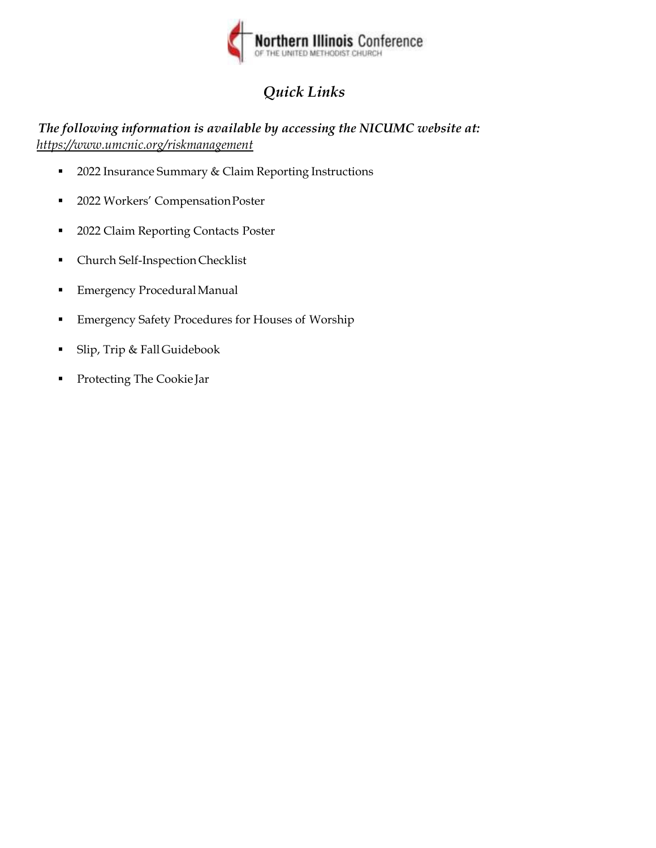#### **APPLICABLE IN ALASKA**

A person who knowingly and with intent to injure, defraud, or deceive an insurance company files a claim containing false, incomplete, or misleading information may be prosecuted under state law.

#### **APPLICABLE IN ARIZONA**

For your protection, Arizona law requires the following statement to appear on this form. Any person who knowingly presents a false or fraudulent claim for payment of a loss is subject to criminal and civil penalties.

#### **APPLICABLE IN ARKANSAS, DELAWARE, KENTUCKY, LOUISIANA, MAINE, MICHIGAN, NEW JERSEY, NEW MEXICO, NEW YORK, NORTH DAKOTA, PENNSYLVANIA, RHODE ISLAND, SOUTH DAKOTA, TENNESSEE, TEXAS, VIRGINIA, AND WEST VIRGINIA**

Any person who knowingly and with intent to defraud any insurance company or another person, files a statement of claim containing any materially false information, or conceals for the purpose of misleading, information concerning any fact, material thereto, commits a fraudulent insurance act, which is a crime, subject to criminal prosecution and [NY: substantial] civil penalties. In LA, ME, TN, and VA, insurance benefits may also be denied.

#### **APPLICABLE IN CALIFORNIA**

For your protection, California law requires the following to appear on this form: Any person who knowingly presents a false or fraudulent claim for payment of a loss is guilty of a crime and may be subject to fines and confinement in state prison.

#### **APPLICABLE IN COLORADO**

It is unlawful to knowingly provide false, incomplete, or misleading facts or information to an insurance company for the purpose of defrauding or attempting to defraud the company. Penalties may include imprisonment, fines, denial of insurance, and civil damages. Any insurance company or agent of an insurance company who knowingly provides false, incomplete, or misleading facts or information to a policy holder or claimant for the purpose of defrauding or attempting to defraud the policy holder or claimant with regard to a settlement or award payable from insurance proceeds shall be reported to the Colorado Division of Insurance within the Department of Regulatory Agencies.

#### **APPLICABLE IN THE DISTRICT OF COLUMBIA**

Warning: It is a crime to provide false or misleading information to an insurer for the purpose of defrauding the insurer or any other person. Penalties include imprisonment and/or fines. In addition, an insurer may deny insurance benefits, if false information materially related to a claim was provided by the applicant.

#### **APPLICABLE IN FLORIDA**

Pursuant to S. 817.234, Florida Statutes, any person who, with the intent to injure, defraud, or deceive any insurer or insured, prepares, presents, or causes to be presented a proof of loss or estimate of cost or repair of damaged property in support of a claim under an insurance policy knowing that the proof of loss or estimate of claim or repairs contains any false, incomplete, or misleading information concerning any fact or thing material to the claim commits a felony of the third degree, punishable as provided in **APPLI**<br>Pursuant to S. 817.234, Florida Statutes, any person wh<br>prepares, presents, or causes to be presented a proof of lo<br>under an insurance policy knowing that the proof of loss or<br>information concerning any fact or thi

#### **APPLICABLE IN HAWAII**

For your protection, Hawaii law requires you to be informed that presenting a fraudulent claim for payment of a loss or benefit is a crime punishable by fines or imprisonment, or both.

#### **APPLICABLE IN IDAHO**

Any person who knowingly and with the intent to injure, defraud, or deceive any insurance company files a statement of claim containing any false, incomplete or misleading information is guilty of a felony.

#### **APPLICABLE IN INDIANA**

A person who knowingly and with intent to defraud an insurer files a statement of claim containing any false, incomplete, or misleading information commits a felony.

#### **APPLICABLE IN KANSAS**

Any person who, knowingly and with intent to defraud, presents, causes to be presented or prepares with knowledge or belief that it will be presented to or by an insurer, purported insurer, broker or any agent thereof, any written statement as part of, or in support of, an application for the issuance of, or the rating of an insurance policy for personal or commercial insurance, or a claim for payment or other benefit pursuant to an insurance policy for commercial or personal insurance which such person knows to contain materially false information concerning any fact material thereto; or conceals, for the purpose of misleading, information concerning any fact material thereto commits a fraudulent insurance act.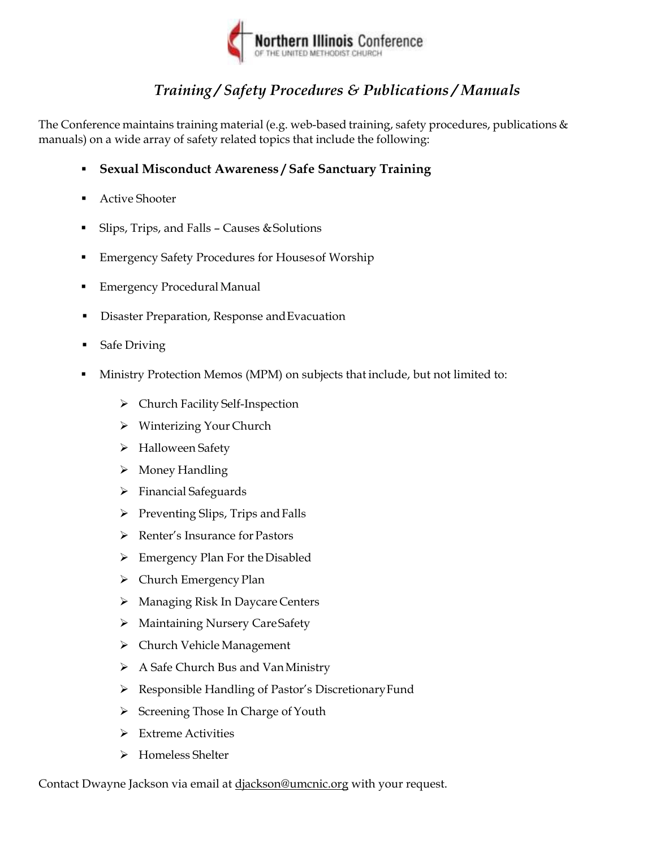#### **APPLICABLE IN MARYLAND**

Any person who knowingly and [or]\* willfully presents a false or fraudulent claim for payment of a loss or benefit or who knowingly and [or]\* willfully presents false information in an application for insurance is guilty of a crime and may be subject to fines and confinement in prison. \* [or] effective 01-01-2013

#### **APPLICABLE IN MINNESOTA**

A person who files a claim with intent to defraud or helps commit a fraud against an insurer is guilty of a crime.

#### **APPLICABLE IN NEVADA**

Pursuant to NRS 686A.291, any person who knowingly and willfully files a statement of claim that contains any false, incomplete or misleading information concerning a material fact is guilty of a felony.

#### **APPLICABLE IN NEW HAMPSHIRE**

Any person who, with purpose to injure, defraud or deceive any insurance company, files a statement of claim containing any false, incomplete or misleading information is subject to prosecution and punishment for insurance fraud, as provided in RSA 638:20.

#### **APPLICABLE IN OHIO**

Any person who, with intent to defraud or knowing that he/she is facilitating a fraud against an insurer, submits an application or files a claim containing a false or deceptive statement is guilty of insurance fraud.

#### **APPLICABLE IN OKLAHOMA**

WARNING: Any person who knowingly and with intent to injure, defraud or deceive any insurer, makes any claim for the proceeds of an insurance policy containing any false, incomplete or misleading information is guilty of a felony.

#### **APPLICABLE IN WASHINGTON**

It is a crime to knowingly provide false, incomplete, or misleading information to an insurance company for the purpose of defrauding the company. Penalties include imprisonment, fines and denial of insurance benefits.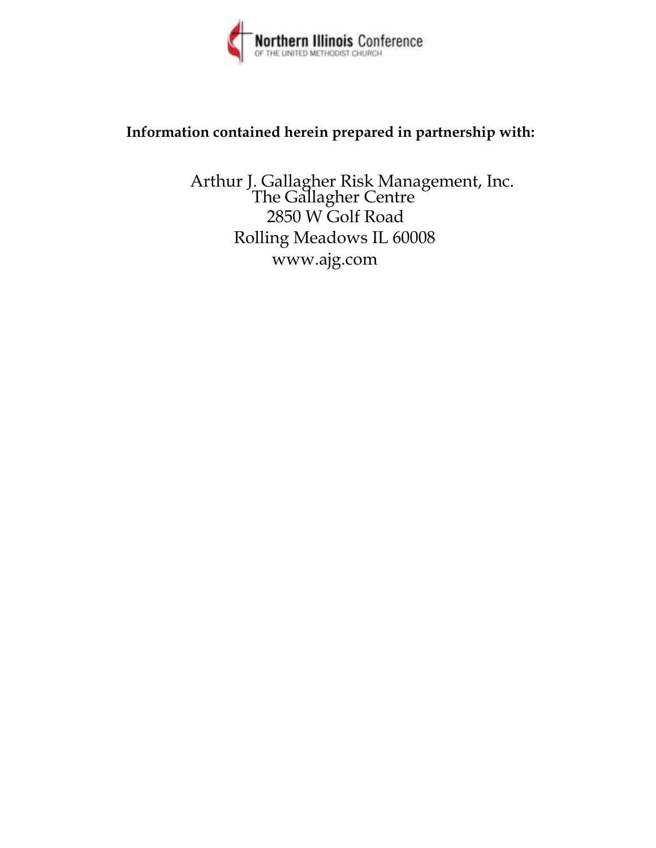| <b>ACORD</b> , AUTO ACCIDENT INFORMATION FORM                                 |                                                                       |                                  |                                                        |                 |              |                                  |                                                                                                                                                                                                      | Clear                                    |              |
|-------------------------------------------------------------------------------|-----------------------------------------------------------------------|----------------------------------|--------------------------------------------------------|-----------------|--------------|----------------------------------|------------------------------------------------------------------------------------------------------------------------------------------------------------------------------------------------------|------------------------------------------|--------------|
|                                                                               |                                                                       |                                  | <b>KEEP THIS DOCUMENT IN YOUR GLOVE COMPARTMENT</b>    |                 |              |                                  |                                                                                                                                                                                                      |                                          |              |
|                                                                               | your insurance agent or company, or provide the information by phone. |                                  |                                                        |                 |              |                                  | IF YOU HAVE AN ACCIDENT, use this form to record the facts about the accident, including names<br>and address of all parties involved, and any witnesses to the accident. Give the completed form to |                                          |              |
| DATE OF ACCIDENT AND TIME                                                     | AM<br><b>PM</b>                                                       |                                  | <b>LOCATION OF ACCIDENT (INCLUDE CITY &amp; STATE)</b> |                 |              |                                  |                                                                                                                                                                                                      |                                          |              |
| DESCRIPTION OF ACCIDENT (USE REVERSE SIDE IF NECESSARY)                       |                                                                       |                                  |                                                        |                 |              |                                  |                                                                                                                                                                                                      |                                          |              |
| <b>AUTHORITY CONTACTED AND REPORT#</b>                                        |                                                                       |                                  |                                                        |                 |              |                                  | ANY VIOLATIONS/CITATIONS AS A RESULT OF THE ACCIDENT (DESCRIBE)                                                                                                                                      |                                          |              |
| <b>PROPERTY DAMAGED (NOT YOUR VEHICLE)</b>                                    |                                                                       |                                  |                                                        |                 |              |                                  |                                                                                                                                                                                                      |                                          |              |
| <b>DESCRIBE PROPERTY</b><br>(If auto, year, make,                             |                                                                       |                                  |                                                        |                 |              |                                  | <b>INSURANCE COMPANY</b>                                                                                                                                                                             |                                          |              |
| model, plate #)<br><b>OWNER'S</b><br><b>NAME &amp;</b>                        |                                                                       |                                  |                                                        |                 |              |                                  | <b>RESIDENCE PHONE</b><br>$(A/C, No)$ :<br><b>BUSINESS PHONE</b>                                                                                                                                     |                                          |              |
| <b>ADDRESS</b><br><b>OTHER DRIVER'S</b>                                       |                                                                       |                                  |                                                        |                 |              |                                  | (A/C, No, Ext):<br><b>RESIDENCE PHONE</b>                                                                                                                                                            |                                          |              |
| <b>NAME &amp; ADDRESS</b><br>(Check if<br>same as owner)                      |                                                                       |                                  |                                                        |                 |              |                                  | (A/C, No):<br><b>BUSINESS PHONE</b><br>(A/C, No, Ext):                                                                                                                                               |                                          |              |
| <b>DRIVER'S LICENSE NUMBER</b>                                                |                                                                       | <b>DESCRIBE</b><br><b>DAMAGE</b> |                                                        |                 |              |                                  | <b>WHERE CAN</b><br><b>DAMAGE</b><br><b>BE SEEN?</b>                                                                                                                                                 |                                          |              |
| <b>INJURED PARTIES</b>                                                        |                                                                       |                                  |                                                        |                 |              |                                  |                                                                                                                                                                                                      |                                          |              |
|                                                                               | <b>NAME &amp; ADDRESS</b>                                             |                                  |                                                        | PHONE (A/C, No) |              | <b>AGE</b>                       |                                                                                                                                                                                                      | <b>DESCRIBE INJURY</b>                   |              |
| <b>PEDESTRIAN</b><br><b>INJURED WAS:</b><br>PEDESTRIAN<br><b>INJURED WAS:</b> | IN YOUR CAR<br>IN YOUR CAR                                            |                                  | IN OTHER CAR<br>IN OTHER CAR                           |                 |              |                                  |                                                                                                                                                                                                      |                                          |              |
| <b>WITNESSES OR PASSENGERS</b>                                                |                                                                       |                                  |                                                        |                 |              |                                  |                                                                                                                                                                                                      |                                          |              |
|                                                                               | <b>NAME &amp; ADDRESS</b>                                             |                                  |                                                        | PHONE (A/C, No) |              | <b>INS OTH</b><br><b>VEH VEH</b> |                                                                                                                                                                                                      | <b>OTHER (Specify)</b>                   |              |
|                                                                               |                                                                       |                                  |                                                        |                 |              |                                  |                                                                                                                                                                                                      |                                          |              |
| YOUR INSURED VEHICLE                                                          |                                                                       |                                  |                                                        |                 |              |                                  |                                                                                                                                                                                                      |                                          |              |
| <b>YEAR</b><br><b>MAKE</b>                                                    |                                                                       |                                  | <b>MODEL</b>                                           |                 |              |                                  |                                                                                                                                                                                                      | <b>PLATE NUMBER</b>                      | <b>STATE</b> |
| <b>OWNER'S</b><br><b>NAME &amp;</b><br><b>ADDRESS</b>                         |                                                                       |                                  |                                                        |                 |              |                                  | <b>RESIDENCE PHONE</b><br>(A/C, No):<br><b>BUSINESS PHONE</b><br>(A/C, No, Ext):                                                                                                                     |                                          |              |
| <b>DRIVER'S NAME</b><br><b>&amp; ADDRESS</b><br>(Check if                     |                                                                       |                                  |                                                        |                 |              |                                  | <b>RESIDENCE PHONE</b><br>(A/C, No):<br><b>BUSINESS PHONE</b>                                                                                                                                        |                                          |              |
| same as owner)<br><b>RELATION TO INSURED</b><br>(Employee, family, etc.)      | <b>DATE OF BIRTH</b>                                                  | <b>DRIVER'S LICENSE NUMBER</b>   |                                                        |                 | <b>STATE</b> | <b>PURPOSE</b>                   | (A/C, No, Ext):                                                                                                                                                                                      | <b>USED WITH<br/>PERMISSION?</b>         |              |
| <b>DESCRIBE</b><br><b>DAMAGE</b>                                              |                                                                       |                                  | <b>WHERE CAN</b><br><b>VEHICLE</b>                     |                 |              | OF USE                           | WHEN CAN VEH BE SEEN?                                                                                                                                                                                | <b>YES</b><br>OTHER INSURANCE ON VEHICLE | <b>NO</b>    |
| YOUR INSURANCE COMPANY NAME                                                   |                                                                       |                                  | <b>BE SEEN?</b><br>YOUR POLICY NUMBER                  |                 |              |                                  | YOUR AGENT'S NAME                                                                                                                                                                                    |                                          |              |
| POLICYHOLDER INFORMATION                                                      |                                                                       |                                  |                                                        |                 |              |                                  |                                                                                                                                                                                                      |                                          |              |
| POLICYHOLDER'S<br><b>NAME &amp;</b><br><b>ADDRESS</b>                         |                                                                       |                                  |                                                        |                 |              |                                  | <b>RESIDENCE PHONE</b><br>(A/C, No):<br><b>BUSINESS PHONE</b>                                                                                                                                        |                                          |              |
| <b>REMARKS</b>                                                                |                                                                       |                                  |                                                        |                 |              |                                  | (A/C, No, Ext);                                                                                                                                                                                      |                                          |              |